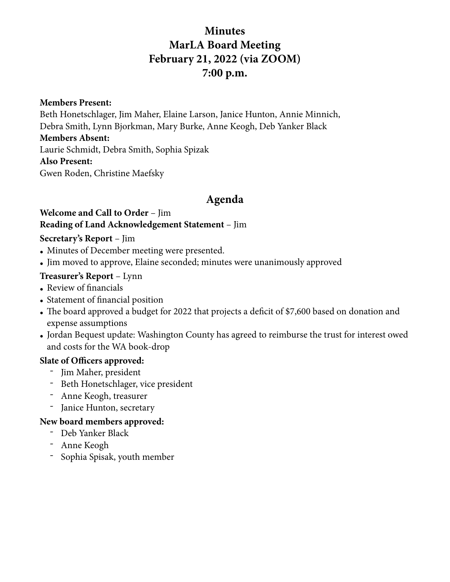# **Minutes MarLA Board Meeting February 21, 2022 (via ZOOM) 7:00 p.m.**

**Members Present:** 

Beth Honetschlager, Jim Maher, Elaine Larson, Janice Hunton, Annie Minnich, Debra Smith, Lynn Bjorkman, Mary Burke, Anne Keogh, Deb Yanker Black

### **Members Absent:**

Laurie Schmidt, Debra Smith, Sophia Spizak

#### **Also Present:**

Gwen Roden, Christine Maefsky

# **Agenda**

#### **Welcome and Call to Order** – Jim **Reading of Land Acknowledgement Statement** – Jim

### **Secretary's Report** – Jim

- Minutes of December meeting were presented.
- Jim moved to approve, Elaine seconded; minutes were unanimously approved

### **Treasurer's Report** – Lynn

- Review of financials
- Statement of financial position
- The board approved a budget for 2022 that projects a deficit of \$7,600 based on donation and expense assumptions
- Jordan Bequest update: Washington County has agreed to reimburse the trust for interest owed and costs for the WA book-drop

### **Slate of Officers approved:**

- Jim Maher, president
- Beth Honetschlager, vice president
- Anne Keogh, treasurer
- Janice Hunton, secretary

### **New board members approved:**

- Deb Yanker Black
- Anne Keogh
- Sophia Spisak, youth member